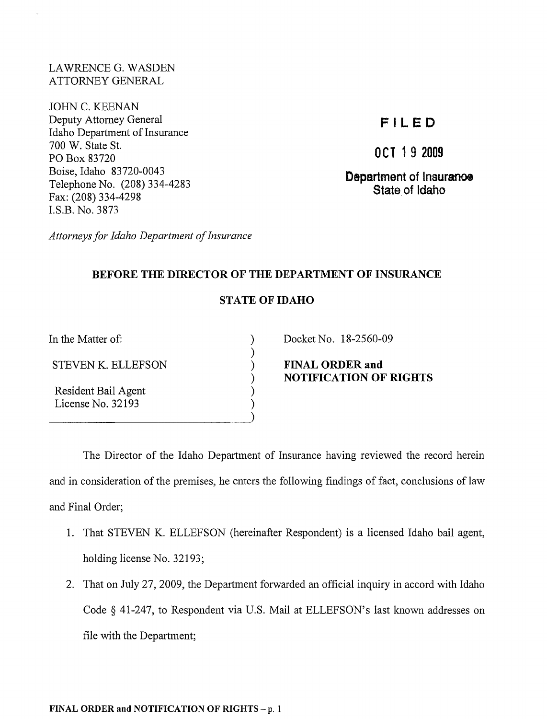LAWRENCE G. WASDEN ATTORNEY GENERAL

JOHN C. KEENAN Deputy Attorney General Idaho Department of Insurance 700 W. State St. PO Box 83720 Boise, Idaho 83720-0043 Telephone No. (208) 334-4283 Fax: (208) 334-4298 I.S.B. No. 3873

# **FILED**

**OCT 1 9 2009** 

**Department of Insuranoe State. of Idaho** 

*Attorneys for Idaho Department of Insurance* 

## **BEFORE THE DIRECTOR OF THE DEPARTMENT OF INSURANCE**

## **STATE OF IDAHO**

) ) ) ) ) ) )

In the Matter of:

STEVEN K. ELLEFSON

Resident Bail Agent License No. 32193

Docket No. 18-2560-09

**FINAL ORDER and NOTIFICATION OF RIGHTS** 

The Director of the Idaho Department of Insurance having reviewed the record herein and in consideration of the premises, he enters the following findings of fact, conclusions of law and Final Order;

- 1. That STEVEN K. ELLEFSON (hereinafter Respondent) is a licensed Idaho bail agent, holding license No. 32193;
- 2. That on July 27,2009, the Department forwarded an official inquiry in accord with Idaho Code § 41-247, to Respondent via U.S. Mail at ELLEFSON's last known addresses on file with the Department;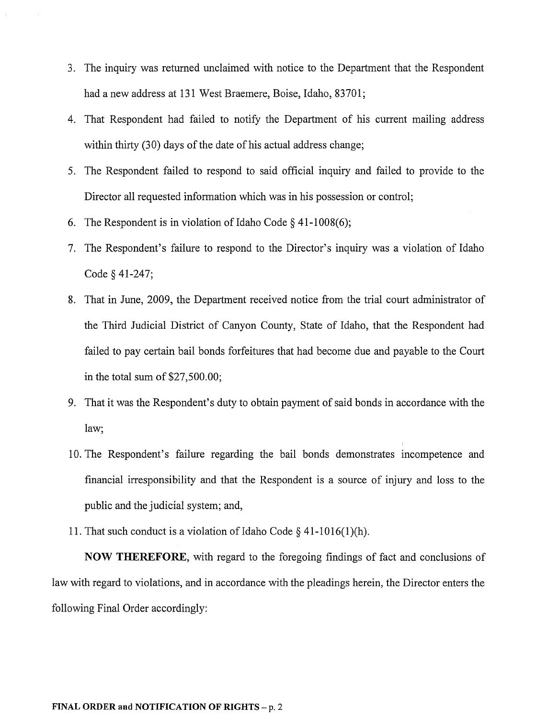- 3. The inquiry was returned unclaimed with notice to the Department that the Respondent had a new address at 131 West Braemere, Boise, Idaho, 83701;
- 4. That Respondent had failed to notify the Department of his current mailing address within thirty (30) days of the date of his actual address change;
- 5. The Respondent failed to respond to said official inquiry and failed to provide to the Director all requested information which was in his possession or control;
- 6. The Respondent is in violation of Idaho Code  $\S$  41-1008(6);
- 7. The Respondent's failure to respond to the Director's inquiry was a violation of Idaho Code § 41-247;
- 8. That in June, 2009, the Department received notice from the trial court administrator of the Third Judicial District of Canyon County, State of Idaho, that the Respondent had failed to pay certain bail bonds forfeitures that had become due and payable to the Court in the total sum of \$27,500.00;
- 9. That it was the Respondent's duty to obtain payment of said bonds in accordance with the law;
- 10. The Respondent's failure regarding the bail bonds demonstrates incompetence and financial irresponsibility and that the Respondent is a source of injury and loss to the public and the judicial system; and,
- 11. That such conduct is a violation of Idaho Code  $\S$  41-1016(1)(h).

**NOW THEREFORE,** with regard to the foregoing findings of fact and conclusions of law with regard to violations, and in accordance with the pleadings herein, the Director enters the following Final Order accordingly: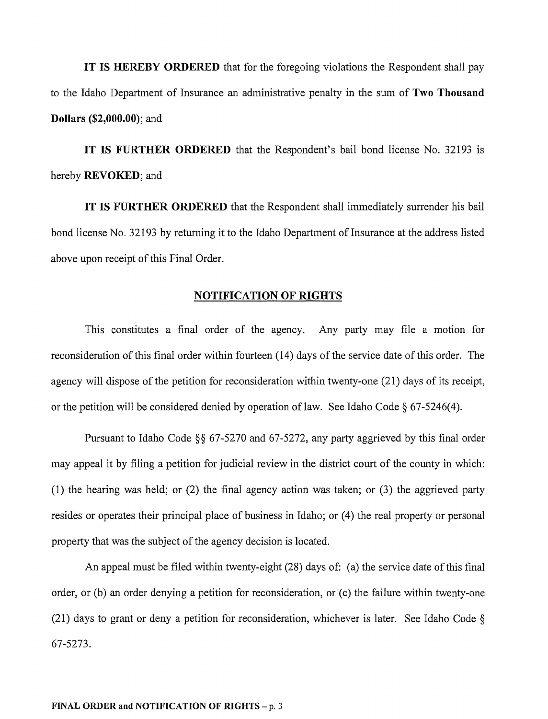**IT IS HEREBY ORDERED** that for the foregoing violations the Respondent shall pay to the Idaho Department of Insurance an administrative penalty in the sum of **Two Thousand Dollars (\$2,000.00);** and

**IT IS FURTHER ORDERED** that the Respondent's bail bond license No. 32193 is hereby **REVOKED;** and

**IT IS FURTHER ORDERED** that the Respondent shall immediately surrender his bail bond license No. 32193 by returning it to the Idaho Department of Insurance at the address listed above upon receipt of this Final Order.

### **NOTIFICATION OF RIGHTS**

This constitutes a final order of the agency. Any party may file a motion for reconsideration of this final order within fourteen (14) days of the service date of this order. The agency will dispose of the petition for reconsideration within twenty-one (21) days of its receipt, or the petition will be considered denied by operation of law. See Idaho Code  $\S 67-5246(4)$ .

Pursuant to Idaho Code §§ 67-5270 and 67-5272, any party aggrieved by this final order may appeal it by filing a petition for judicial review in the district court of the county in which: (1) the hearing was held; or (2) the final agency action was taken; or (3) the aggrieved party resides or operates their principal place of business in Idaho; or (4) the real property or personal property that was the subject of the agency decision is located.

An appeal must be filed within twenty-eight (28) days of: (a) the service date of this final order, or (b) an order denying a petition for reconsideration, or (c) the failure within twenty-one (21) days to grant or deny a petition for reconsideration, whichever is later. See Idaho Code § 67-5273.

#### **FINAL ORDER and NOTIFICATION OF RIGHTS** - p. 3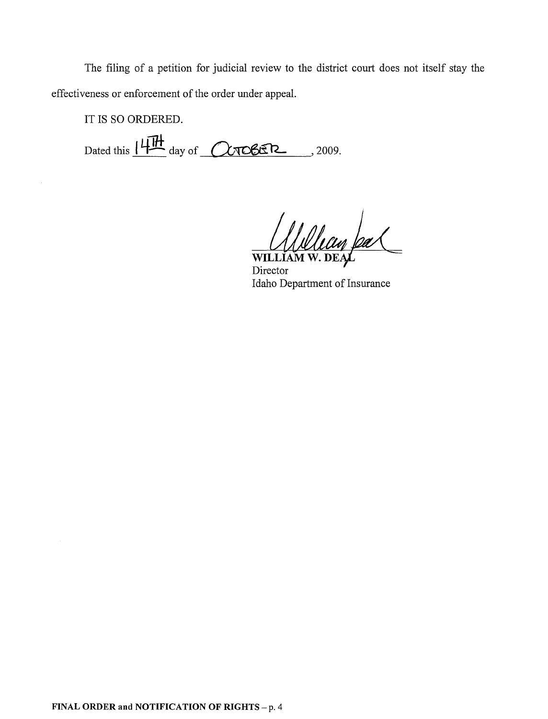The filing of a petition for judicial review to the district court does not itself stay the effectiveness or enforcement of the order under appeal.

IT IS SO ORDERED.

Dated this  $14H \over 14$  day of  $\overline{\text{Cyc6}}$   $\overline{\text{Cyc6}}$  , 2009.

Willew pal

Idaho Department of Insurance